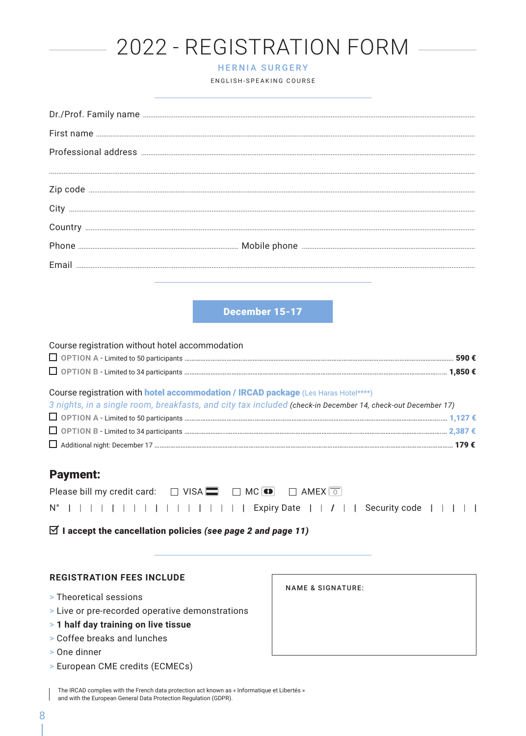| 2022 - REGISTRATION FORM<br><b>HERNIA SURGERY</b><br>ENGLISH-SPEAKING COURSE                                                                                                                      |
|---------------------------------------------------------------------------------------------------------------------------------------------------------------------------------------------------|
|                                                                                                                                                                                                   |
|                                                                                                                                                                                                   |
|                                                                                                                                                                                                   |
|                                                                                                                                                                                                   |
|                                                                                                                                                                                                   |
|                                                                                                                                                                                                   |
|                                                                                                                                                                                                   |
|                                                                                                                                                                                                   |
| December 15-17                                                                                                                                                                                    |
| Course registration without hotel accommodation                                                                                                                                                   |
|                                                                                                                                                                                                   |
| Course registration with hotel accommodation / IRCAD package (Les Haras Hotel****)<br>3 nights, in a single room, breakfasts, and city tax included (check-in December 14, check-out December 17) |
| <b>Payment:</b>                                                                                                                                                                                   |
| $\Box$ VISA $\Box$ $\Box$ MC $\odot$<br>Please bill my credit card:<br>$\Box$ AMEX $\boxed{\circ}$                                                                                                |

|  |  |  |  |  |  |  |  | N°                                   Expiry Date     <i> </i>     Security code |  |  |
|--|--|--|--|--|--|--|--|---------------------------------------------------------------------------------|--|--|
|--|--|--|--|--|--|--|--|---------------------------------------------------------------------------------|--|--|

 $\boxtimes$  I accept the cancellation policies (see page 2 and page 11)

### **REGISTRATION FEES INCLUDE**

- > Theoretical sessions
- > Live or pre-recorded operative demonstrations
- > 1 half day training on live tissue
- > Coffee breaks and lunches
- > One dinner

 $\sim$ 

> European CME credits (ECMECs)

NAME & SIGNATURE:

 $\overline{1}$ 

The IRCAD complies with the French data protection act known as « Informatique et Libertés »  $\mathbf{I}$ and with the European General Data Protection Regulation (GDPR).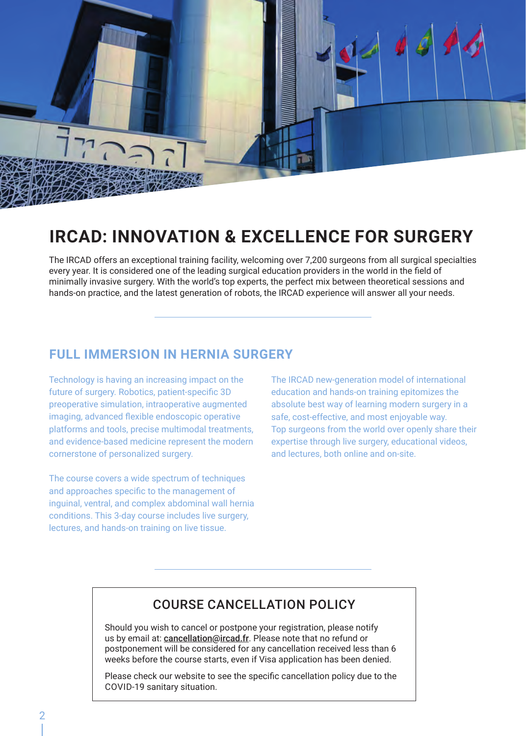

# **IRCAD: INNOVATION & EXCELLENCE FOR SURGERY**

The IRCAD offers an exceptional training facility, welcoming over 7,200 surgeons from all surgical specialties every year. It is considered one of the leading surgical education providers in the world in the field of minimally invasive surgery. With the world's top experts, the perfect mix between theoretical sessions and hands-on practice, and the latest generation of robots, the IRCAD experience will answer all your needs.

### **FULL IMMERSION IN HERNIA SURGERY**

Technology is having an increasing impact on the future of surgery. Robotics, patient-specific 3D preoperative simulation, intraoperative augmented imaging, advanced flexible endoscopic operative platforms and tools, precise multimodal treatments, and evidence-based medicine represent the modern cornerstone of personalized surgery.

The course covers a wide spectrum of techniques and approaches specific to the management of inguinal, ventral, and complex abdominal wall hernia conditions. This 3-day course includes live surgery, lectures, and hands-on training on live tissue.

The IRCAD new-generation model of international education and hands-on training epitomizes the absolute best way of learning modern surgery in a safe, cost-effective, and most enjoyable way. Top surgeons from the world over openly share their expertise through live surgery, educational videos, and lectures, both online and on-site.

### COURSE CANCELLATION POLICY

Should you wish to cancel or postpone your registration, please notify us by email at: cancellation@ircad.fr. Please note that no refund or postponement will be considered for any cancellation received less than 6 weeks before the course starts, even if Visa application has been denied.

Please check our website to see the specific cancellation policy due to the COVID-19 sanitary situation.